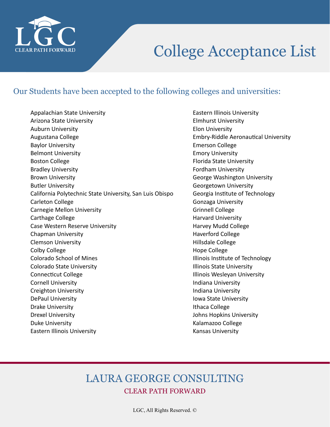

#### Our Students have been accepted to the following colleges and universities:

Appalachian State University Arizona State University Auburn University Augustana College Baylor University Belmont University Boston College Bradley University Brown University Butler University California Polytechnic State University, San Luis Obispo Carleton College Carnegie Mellon University Carthage College Case Western Reserve University Chapman University Clemson University Colby College Colorado School of Mines Colorado State University Connecticut College Cornell University Creighton University DePaul University Drake University Drexel University Duke University Eastern Illinois University

Eastern Illinois University Elmhurst University Elon University Embry-Riddle Aeronautical University Emerson College Emory University Florida State University Fordham University George Washington University Georgetown University Georgia Institute of Technology Gonzaga University Grinnell College Harvard University Harvey Mudd College Haverford College Hillsdale College Hope College Illinois Institute of Technology Illinois State University Illinois Wesleyan University Indiana University Indiana University Iowa State University Ithaca College Johns Hopkins University Kalamazoo College Kansas University

### LAURA GEORGE CONSULTING CLEAR PATH FORWARD

LGC, All Rights Reserved. ©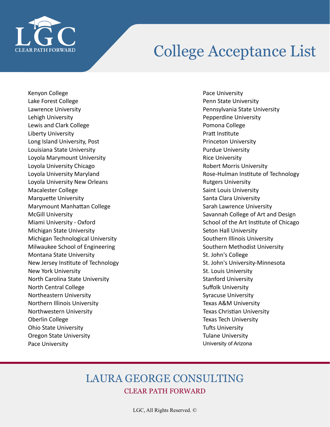

Kenyon College Lake Forest College Lawrence University Lehigh University Lewis and Clark College Liberty University Long Island University, Post Louisiana State University Loyola Marymount University Loyola University Chicago Loyola University Maryland Loyola University New Orleans Macalester College Marquette University Marymount Manhattan College McGill University Miami University - Oxford Michigan State University Michigan Technological University Milwaukee School of Engineering Montana State University New Jersey Institute of Technology New York University North Carolina State University North Central College Northeastern University Northern Illinois University Northwestern University Oberlin College Ohio State University Oregon State University Pace University

Pace University Penn State University Pennsylvania State University Pepperdine University Pomona College Pratt Institute Princeton University Purdue University Rice University Robert Morris University Rose-Hulman Institute of Technology Rutgers University Saint Louis University Santa Clara University Sarah Lawrence University Savannah College of Art and Design School of the Art Institute of Chicago Seton Hall University Southern Illinois University Southern Methodist University St. John's College St. John's University-Minnesota St. Louis University Stanford University Suffolk University Syracuse University Texas A&M University Texas Christian University Texas Tech University Tufts University Tulane University University of Arizona

### LAURA GEORGE CONSULTING CLEAR PATH FORWARD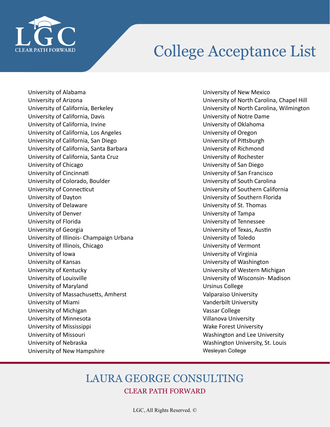

University of Alabama University of Arizona University of California, Berkeley University of California, Davis University of California, Irvine University of California, Los Angeles University of California, San Diego University of California, Santa Barbara University of California, Santa Cruz University of Chicago University of Cincinnati University of Colorado, Boulder University of Connecticut University of Dayton University of Delaware University of Denver University of Florida University of Georgia University of Illinois- Champaign Urbana University of Illinois, Chicago University of Iowa University of Kansas University of Kentucky University of Louisville University of Maryland University of Massachusetts, Amherst University of Miami University of Michigan University of Minnesota University of Mississippi University of Missouri University of Nebraska University of New Hampshire

University of New Mexico University of North Carolina, Chapel Hill University of North Carolina, Wilmington University of Notre Dame University of Oklahoma University of Oregon University of Pittsburgh University of Richmond University of Rochester University of San Diego University of San Francisco University of South Carolina University of Southern California University of Southern Florida University of St. Thomas University of Tampa University of Tennessee University of Texas, Austin University of Toledo University of Vermont University of Virginia University of Washington University of Western Michigan University of Wisconsin- Madison Ursinus College Valparaiso University Vanderbilt University Vassar College Villanova University Wake Forest University Washington and Lee University Washington University, St. Louis Wesleyan College

#### LAURA GEORGE CONSULTING CLEAR PATH FORWARD

LGC, All Rights Reserved. ©